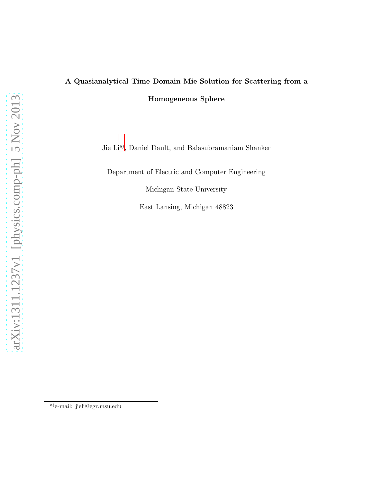# <span id="page-0-1"></span>A Quasianalytical Time Domain Mie Solution for Scattering from a Homogeneous Sphere

Jie Li[a\)](#page-0-0), Daniel Dault, and Balasubramaniam Shanker

Department of Electric and Computer Engineering

Michigan State University

East Lansing, Michigan 48823

<span id="page-0-0"></span>a)e-mail: jieli@egr.msu.edu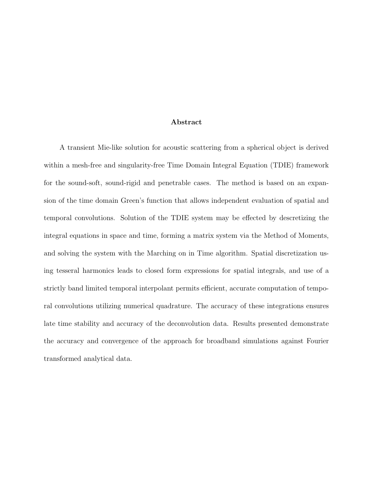## Abstract

A transient Mie-like solution for acoustic scattering from a spherical object is derived within a mesh-free and singularity-free Time Domain Integral Equation (TDIE) framework for the sound-soft, sound-rigid and penetrable cases. The method is based on an expansion of the time domain Green's function that allows independent evaluation of spatial and temporal convolutions. Solution of the TDIE system may be effected by descretizing the integral equations in space and time, forming a matrix system via the Method of Moments, and solving the system with the Marching on in Time algorithm. Spatial discretization using tesseral harmonics leads to closed form expressions for spatial integrals, and use of a strictly band limited temporal interpolant permits efficient, accurate computation of temporal convolutions utilizing numerical quadrature. The accuracy of these integrations ensures late time stability and accuracy of the deconvolution data. Results presented demonstrate the accuracy and convergence of the approach for broadband simulations against Fourier transformed analytical data.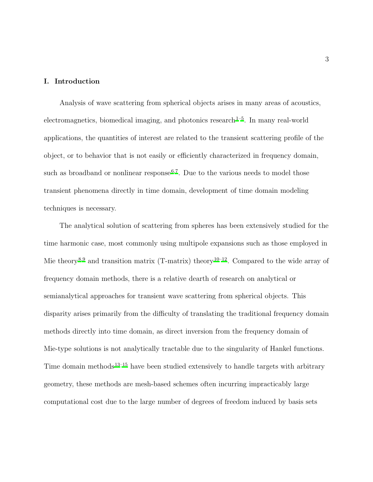## I. Introduction

Analysis of wave scattering from spherical objects arises in many areas of acoustics, electromagnetics, biomedical imaging, and photonics research<sup>[1](#page-25-0)[–5](#page-25-1)</sup>. In many real-world applications, the quantities of interest are related to the transient scattering profile of the object, or to behavior that is not easily or efficiently characterized in frequency domain, such as broadband or nonlinear response<sup>[6](#page-26-0)[,7](#page-26-1)</sup>. Due to the various needs to model those transient phenomena directly in time domain, development of time domain modeling techniques is necessary.

The analytical solution of scattering from spheres has been extensively studied for the time harmonic case, most commonly using multipole expansions such as those employed in Mie theory<sup>[8](#page-26-2)[,9](#page-26-3)</sup> and transition matrix (T-matrix) theory<sup>[10](#page-26-4)[–12](#page-27-0)</sup>. Compared to the wide array of frequency domain methods, there is a relative dearth of research on analytical or semianalytical approaches for transient wave scattering from spherical objects. This disparity arises primarily from the difficulty of translating the traditional frequency domain methods directly into time domain, as direct inversion from the frequency domain of Mie-type solutions is not analytically tractable due to the singularity of Hankel functions. Time domain methods<sup>[13](#page-27-1)[–15](#page-27-2)</sup> have been studied extensively to handle targets with arbitrary geometry, these methods are mesh-based schemes often incurring impracticably large computational cost due to the large number of degrees of freedom induced by basis sets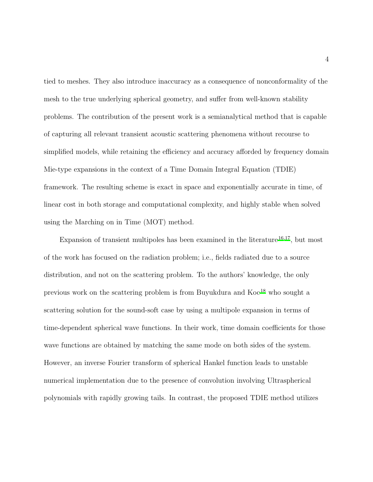tied to meshes. They also introduce inaccuracy as a consequence of nonconformality of the mesh to the true underlying spherical geometry, and suffer from well-known stability problems. The contribution of the present work is a semianalytical method that is capable of capturing all relevant transient acoustic scattering phenomena without recourse to simplified models, while retaining the efficiency and accuracy afforded by frequency domain Mie-type expansions in the context of a Time Domain Integral Equation (TDIE) framework. The resulting scheme is exact in space and exponentially accurate in time, of linear cost in both storage and computational complexity, and highly stable when solved using the Marching on in Time (MOT) method.

Expansion of transient multipoles has been examined in the literature<sup>[16](#page-27-3)[,17](#page-27-4)</sup>, but most of the work has focused on the radiation problem; i.e., fields radiated due to a source distribution, and not on the scattering problem. To the authors' knowledge, the only previous work on the scattering problem is from Buyukdura and  $Koc<sup>18</sup>$  $Koc<sup>18</sup>$  $Koc<sup>18</sup>$  who sought a scattering solution for the sound-soft case by using a multipole expansion in terms of time-dependent spherical wave functions. In their work, time domain coefficients for those wave functions are obtained by matching the same mode on both sides of the system. However, an inverse Fourier transform of spherical Hankel function leads to unstable numerical implementation due to the presence of convolution involving Ultraspherical polynomials with rapidly growing tails. In contrast, the proposed TDIE method utilizes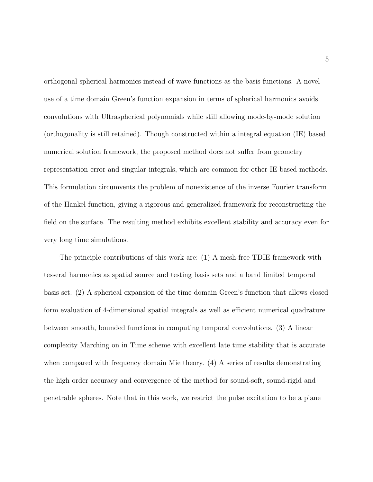orthogonal spherical harmonics instead of wave functions as the basis functions. A novel use of a time domain Green's function expansion in terms of spherical harmonics avoids convolutions with Ultraspherical polynomials while still allowing mode-by-mode solution (orthogonality is still retained). Though constructed within a integral equation (IE) based numerical solution framework, the proposed method does not suffer from geometry representation error and singular integrals, which are common for other IE-based methods. This formulation circumvents the problem of nonexistence of the inverse Fourier transform of the Hankel function, giving a rigorous and generalized framework for reconstructing the field on the surface. The resulting method exhibits excellent stability and accuracy even for very long time simulations.

The principle contributions of this work are: (1) A mesh-free TDIE framework with tesseral harmonics as spatial source and testing basis sets and a band limited temporal basis set. (2) A spherical expansion of the time domain Green's function that allows closed form evaluation of 4-dimensional spatial integrals as well as efficient numerical quadrature between smooth, bounded functions in computing temporal convolutions. (3) A linear complexity Marching on in Time scheme with excellent late time stability that is accurate when compared with frequency domain Mie theory. (4) A series of results demonstrating the high order accuracy and convergence of the method for sound-soft, sound-rigid and penetrable spheres. Note that in this work, we restrict the pulse excitation to be a plane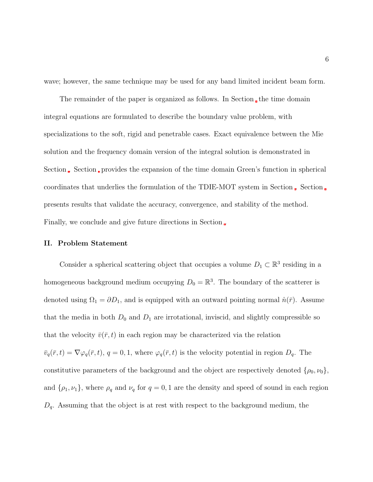wave; however, the same technique may be used for any band limited incident beam form.

The remainder of the paper is organized as follows. In Section the time domain integral equations are formulated to describe the boundary value problem, with specializations to the soft, rigid and penetrable cases. Exact equivalence between the Mie solution and the frequency domain version of the integral solution is demonstrated in Section [.](#page-8-0) Section provides the expansion of the time domain Green's function in spherical coordinates that underlies the formulation of the TDIE-MOT system in Section [.](#page-14-0) Section presents results that validate the accuracy, convergence, and stability of the method. Finally, we conclude and give future directions in Section [.](#page-19-0)

#### II. Problem Statement

Consider a spherical scattering object that occupies a volume  $D_1 \subset \mathbb{R}^3$  residing in a homogeneous background medium occupying  $D_0 = \mathbb{R}^3$ . The boundary of the scatterer is denoted using  $\Omega_1 = \partial D_1$ , and is equipped with an outward pointing normal  $\hat{n}(\bar{r})$ . Assume that the media in both  $D_0$  and  $D_1$  are irrotational, inviscid, and slightly compressible so that the velocity  $\bar{v}(\bar{r}, t)$  in each region may be characterized via the relation  $\bar{v}_q(\bar{r}, t) = \nabla \varphi_q(\bar{r}, t)$ ,  $q = 0, 1$ , where  $\varphi_q(\bar{r}, t)$  is the velocity potential in region  $D_q$ . The constitutive parameters of the background and the object are respectively denoted  $\{\rho_0, \nu_0\},$ and  $\{\rho_1, \nu_1\}$ , where  $\rho_q$  and  $\nu_q$  for  $q = 0, 1$  are the density and speed of sound in each region  $D_q$ . Assuming that the object is at rest with respect to the background medium, the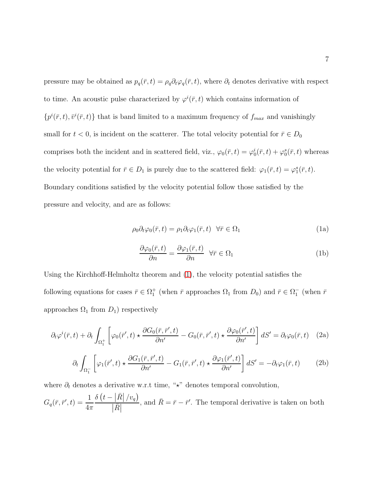pressure may be obtained as  $p_q(\bar{r}, t) = \rho_q \partial_t \varphi_q(\bar{r}, t)$ , where  $\partial_t$  denotes derivative with respect to time. An acoustic pulse characterized by  $\varphi^{i}(\bar{r}, t)$  which contains information of  $\{p^{i}(\bar{r},t),\bar{v}^{i}(\bar{r},t)\}\$  that is band limited to a maximum frequency of  $f_{max}$  and vanishingly small for  $t < 0$ , is incident on the scatterer. The total velocity potential for  $\bar{r} \in D_0$ comprises both the incident and in scattered field, viz.,  $\varphi_0(\bar{r}, t) = \varphi_0^i(\bar{r}, t) + \varphi_0^s(\bar{r}, t)$  whereas the velocity potential for  $\bar{r} \in D_1$  is purely due to the scattered field:  $\varphi_1(\bar{r}, t) = \varphi_1^s(\bar{r}, t)$ . Boundary conditions satisfied by the velocity potential follow those satisfied by the pressure and velocity, and are as follows:

<span id="page-6-0"></span>
$$
\rho_0 \partial_t \varphi_0(\bar{r}, t) = \rho_1 \partial_t \varphi_1(\bar{r}, t) \quad \forall \bar{r} \in \Omega_1 \tag{1a}
$$

$$
\frac{\partial \varphi_0(\bar{r}, t)}{\partial n} = \frac{\partial \varphi_1(\bar{r}, t)}{\partial n} \quad \forall \bar{r} \in \Omega_1
$$
\n(1b)

Using the Kirchhoff-Helmholtz theorem and [\(1\)](#page-6-0), the velocity potential satisfies the following equations for cases  $\bar{r} \in \Omega_1^+$  (when  $\bar{r}$  approaches  $\Omega_1$  from  $D_0$ ) and  $\bar{r} \in \Omega_1^-$  (when  $\bar{r}$ approaches  $\Omega_1$  from  $D_1$ ) respectively

<span id="page-6-2"></span><span id="page-6-1"></span>
$$
\partial_t \varphi^i(\bar{r}, t) + \partial_t \int_{\Omega_1^+} \left[ \varphi_0(\bar{r}', t) \star \frac{\partial G_0(\bar{r}, \bar{r}', t)}{\partial n'} - G_0(\bar{r}, \bar{r}', t) \star \frac{\partial \varphi_0(\bar{r}', t)}{\partial n'} \right] dS' = \partial_t \varphi_0(\bar{r}, t) \quad (2a)
$$

$$
\partial_t \int_{\Omega_1^-} \left[ \varphi_1(\bar{r}', t) \star \frac{\partial G_1(\bar{r}, \bar{r}', t)}{\partial n'} - G_1(\bar{r}, \bar{r}', t) \star \frac{\partial \varphi_1(\bar{r}', t)}{\partial n'} \right] dS' = -\partial_t \varphi_1(\bar{r}, t) \tag{2b}
$$

where  $\partial_t$  denotes a derivative w.r.t time, "<sup>\*</sup>\*" denotes temporal convolution,

$$
G_q(\bar{r}, \bar{r}', t) = \frac{1}{4\pi} \frac{\delta (t - |\bar{R}|/v_q)}{|\bar{R}|}, \text{ and } \bar{R} = \bar{r} - \bar{r}'. \text{ The temporal derivative is taken on both}
$$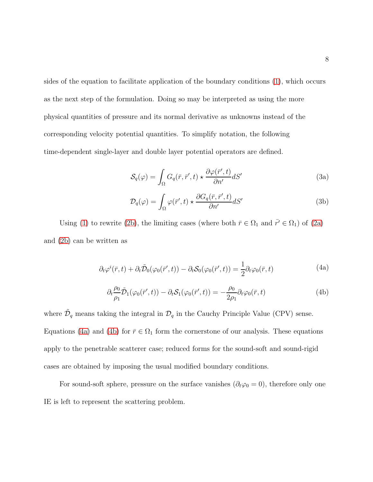sides of the equation to facilitate application of the boundary conditions [\(1\)](#page-6-0), which occurs as the next step of the formulation. Doing so may be interpreted as using the more physical quantities of pressure and its normal derivative as unknowns instead of the corresponding velocity potential quantities. To simplify notation, the following time-dependent single-layer and double layer potential operators are defined.

$$
S_q(\varphi) = \int_{\Omega} G_q(\bar{r}, \bar{r}', t) \star \frac{\partial \varphi(\bar{r}', t)}{\partial n'} dS'
$$
 (3a)

$$
\mathcal{D}_q(\varphi) = \int_{\Omega} \varphi(\bar{r}', t) \star \frac{\partial G_q(\bar{r}, \bar{r}', t)}{\partial n'} dS'
$$
(3b)

<span id="page-7-0"></span>Using [\(1\)](#page-6-0) to rewrite [\(2b\)](#page-6-1), the limiting cases (where both  $\bar{r} \in \Omega_1$  and  $\bar{r'} \in \Omega_1$ ) of [\(2a\)](#page-6-2) and [\(2b\)](#page-6-1) can be written as

$$
\partial_t \varphi^i(\bar{r}, t) + \partial_t \tilde{\mathcal{D}}_0(\varphi_0(\bar{r}', t)) - \partial_t \mathcal{S}_0(\varphi_0(\bar{r}', t)) = \frac{1}{2} \partial_t \varphi_0(\bar{r}, t)
$$
(4a)

<span id="page-7-1"></span>
$$
\partial_t \frac{\rho_0}{\rho_1} \tilde{\mathcal{D}}_1(\varphi_0(\bar{r}',t)) - \partial_t \mathcal{S}_1(\varphi_0(\bar{r}',t)) = -\frac{\rho_0}{2\rho_1} \partial_t \varphi_0(\bar{r},t)
$$
(4b)

where  $\tilde{\mathcal{D}}_q$  means taking the integral in  $\mathcal{D}_q$  in the Cauchy Principle Value (CPV) sense. Equations [\(4a\)](#page-7-0) and [\(4b\)](#page-7-1) for  $\bar{r} \in \Omega_1$  form the cornerstone of our analysis. These equations apply to the penetrable scatterer case; reduced forms for the sound-soft and sound-rigid cases are obtained by imposing the usual modified boundary conditions.

For sound-soft sphere, pressure on the surface vanishes ( $\partial_t\varphi_0 = 0$ ), therefore only one IE is left to represent the scattering problem.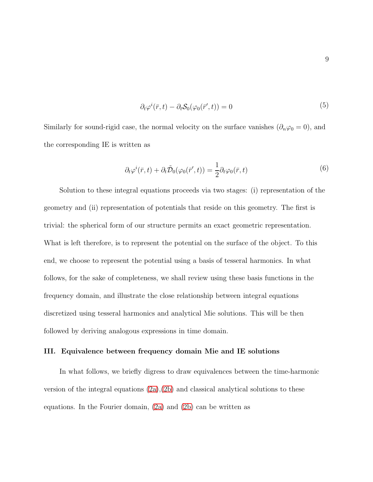$$
\partial_t \varphi^i(\bar{r}, t) - \partial_t \mathcal{S}_0(\varphi_0(\bar{r}', t)) = 0 \tag{5}
$$

<span id="page-8-2"></span><span id="page-8-0"></span>Similarly for sound-rigid case, the normal velocity on the surface vanishes  $(\partial_n\varphi_0 = 0)$ , and the corresponding IE is written as

$$
\partial_t \varphi^i(\bar{r}, t) + \partial_t \tilde{\mathcal{D}}_0(\varphi_0(\bar{r}', t)) = \frac{1}{2} \partial_t \varphi_0(\bar{r}, t)
$$
\n(6)

Solution to these integral equations proceeds via two stages: (i) representation of the geometry and (ii) representation of potentials that reside on this geometry. The first is trivial: the spherical form of our structure permits an exact geometric representation. What is left therefore, is to represent the potential on the surface of the object. To this end, we choose to represent the potential using a basis of tesseral harmonics. In what follows, for the sake of completeness, we shall review using these basis functions in the frequency domain, and illustrate the close relationship between integral equations discretized using tesseral harmonics and analytical Mie solutions. This will be then followed by deriving analogous expressions in time domain.

## III. Equivalence between frequency domain Mie and IE solutions

<span id="page-8-1"></span>In what follows, we briefly digress to draw equivalences between the time-harmonic version of the integral equations [\(2a\)](#page-6-2),[\(2b\)](#page-6-1) and classical analytical solutions to these equations. In the Fourier domain, [\(2a\)](#page-6-2) and [\(2b\)](#page-6-1) can be written as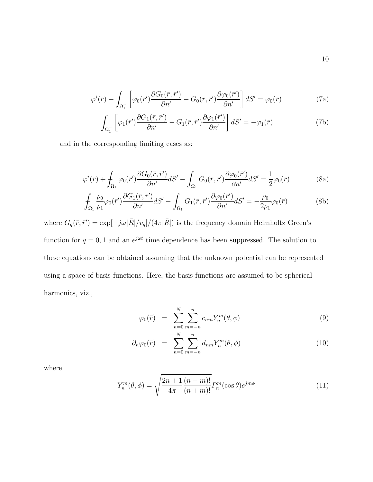$$
\varphi^{i}(\bar{r}) + \int_{\Omega_{1}^{+}} \left[ \varphi_{0}(\bar{r}') \frac{\partial G_{0}(\bar{r}, \bar{r}')}{\partial n'} - G_{0}(\bar{r}, \bar{r}') \frac{\partial \varphi_{0}(\bar{r}')}{\partial n'} \right] dS' = \varphi_{0}(\bar{r}) \tag{7a}
$$

$$
\int_{\Omega_1^-} \left[ \varphi_1(\bar{r}') \frac{\partial G_1(\bar{r}, \bar{r}')}{\partial n'} - G_1(\bar{r}, \bar{r}') \frac{\partial \varphi_1(\bar{r}')}{\partial n'} \right] dS' = -\varphi_1(\bar{r}) \tag{7b}
$$

and in the corresponding limiting cases as:

$$
\varphi^i(\bar{r}) + \int_{\Omega_1} \varphi_0(\bar{r}') \frac{\partial G_0(\bar{r}, \bar{r}')}{\partial n'} dS' - \int_{\Omega_1} G_0(\bar{r}, \bar{r}') \frac{\partial \varphi_0(\bar{r}')}{\partial n'} dS' = \frac{1}{2} \varphi_0(\bar{r})
$$
(8a)

$$
\int_{\Omega_1} \frac{\rho_0}{\rho_1} \varphi_0(\bar{r}') \frac{\partial G_1(\bar{r}, \bar{r}')}{\partial n'} dS' - \int_{\Omega_1} G_1(\bar{r}, \bar{r}') \frac{\partial \varphi_0(\bar{r}')}{\partial n'} dS' = -\frac{\rho_0}{2\rho_1} \varphi_0(\bar{r})
$$
(8b)

where  $G_q(\bar{r}, \bar{r}') = \exp[-j\omega|\bar{R}|/v_q]/(4\pi|\bar{R}|)$  is the frequency domain Helmholtz Green's function for  $q = 0, 1$  and an  $e^{j\omega t}$  time dependence has been suppressed. The solution to these equations can be obtained assuming that the unknown potential can be represented using a space of basis functions. Here, the basis functions are assumed to be spherical harmonics, viz.,

<span id="page-9-0"></span>
$$
\varphi_0(\bar{r}) = \sum_{n=0}^{N} \sum_{m=-n}^{n} c_{nm} Y_n^m(\theta, \phi) \tag{9}
$$

$$
\partial_n \varphi_0(\bar{r}) = \sum_{n=0}^N \sum_{m=-n}^n d_{nm} Y_n^m(\theta, \phi) \tag{10}
$$

where

$$
Y_n^m(\theta, \phi) = \sqrt{\frac{2n+1}{4\pi} \frac{(n-m)!}{(n+m)!}} P_n^m(\cos \theta) e^{jm\phi}
$$
 (11)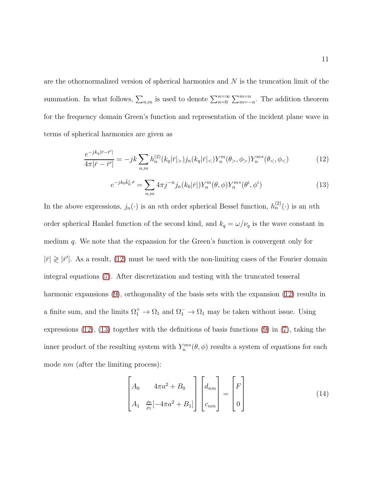are the othornormalized version of spherical harmonics and N is the truncation limit of the summation. In what follows,  $\sum_{n,m}$  is used to denote  $\sum_{n=0}^{n=\infty} \sum_{m=-n}^{m=n}$ . The addition theorem for the frequency domain Green's function and representation of the incident plane wave in terms of spherical harmonics are given as

<span id="page-10-0"></span>
$$
\frac{e^{-jk_q|\bar{r}-\bar{r}'|}}{4\pi|\bar{r}-\bar{r}'|} = -jk \sum_{n,m} h_n^{(2)}(k_q|\bar{r}|>) j_n(k_q|\bar{r}|_<) Y_n^m(\theta_>, \phi_>) Y_n^{m*}(\theta_<, \phi_<)
$$
(12)

<span id="page-10-1"></span>
$$
e^{-jk_0\hat{k}_0^i\cdot\bar{r}} = \sum_{n,m} 4\pi j^{-n} j_n(k_0|\bar{r}|) Y_n^m(\theta,\phi) Y_n^{m*}(\theta^i,\phi^i)
$$
(13)

In the above expressions,  $j_n(\cdot)$  is an nth order spherical Bessel function,  $h_n^{(2)}(\cdot)$  is an nth order spherical Hankel function of the second kind, and  $k_q = \omega/\nu_q$  is the wave constant in medium q. We note that the expansion for the Green's function is convergent only for  $|\bar{r}| \geqslant |\bar{r}'|$ . As a result, [\(12\)](#page-10-0) must be used with the non-limiting cases of the Fourier domain integral equations [\(7\)](#page-8-1). After discretization and testing with the truncated tesseral harmonic expansions [\(9\)](#page-9-0), orthogonality of the basis sets with the expansion [\(12\)](#page-10-0) results in a finite sum, and the limits  $\Omega_1^+ \to \Omega_1$  and  $\Omega_1^- \to \Omega_1$  may be taken without issue. Using expressions [\(12\)](#page-10-0), [\(13\)](#page-10-1) together with the definitions of basis functions [\(9\)](#page-9-0) in [\(7\)](#page-8-1), taking the inner product of the resulting system with  $Y_n^{m*}(\theta, \phi)$  results a system of equations for each mode *nm* (after the limiting process):

<span id="page-10-2"></span>
$$
\begin{bmatrix}\nA_0 & 4\pi a^2 + B_0 \\
A_1 & \frac{\rho_0}{\rho_1}[-4\pi a^2 + B_1]\n\end{bmatrix}\n\begin{bmatrix}\nd_{nm} \\
c_{nm}\n\end{bmatrix} =\n\begin{bmatrix}\nF \\
0\n\end{bmatrix}
$$
\n(14)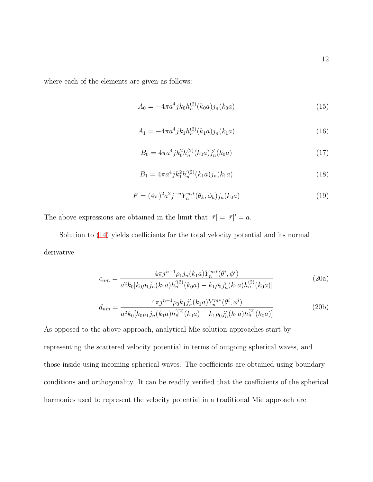where each of the elements are given as follows:

$$
A_0 = -4\pi a^4 j k_0 h_n^{(2)}(k_0 a) j_n(k_0 a)
$$
\n(15)

$$
A_1 = -4\pi a^4 j k_1 h_n^{(2)}(k_1 a) j_n(k_1 a)
$$
\n(16)

$$
B_0 = 4\pi a^4 j k_0^2 h_n^{(2)}(k_0 a) j_n'(k_0 a)
$$
\n(17)

$$
B_1 = 4\pi a^4 j k_1^2 h_n^{'(2)}(k_1 a) j_n(k_1 a)
$$
\n(18)

$$
F = (4\pi)^2 a^2 j^{-n} Y_n^{m*} (\theta_k, \phi_k) j_n(k_0 a)
$$
\n(19)

The above expressions are obtained in the limit that  $|\bar{r}| = |\bar{r}|' = a$ .

<span id="page-11-1"></span>Solution to [\(14\)](#page-10-2) yields coefficients for the total velocity potential and its normal derivative

$$
c_{nm} = \frac{4\pi j^{n-1} \rho_1 j_n(k_1 a) Y_n^{m*}(\theta^i, \phi^i)}{a^2 k_0 [k_0 \rho_1 j_n(k_1 a) h_n^{'(2)}(k_0 a) - k_1 \rho_0 j_n'(k_1 a) h_n^{(2)}(k_0 a)]}
$$
(20a)

$$
d_{nm} = \frac{4\pi j^{n-1} \rho_0 k_1 j_n'(k_1 a) Y_n^{m*}(\theta^i, \phi^i)}{a^2 k_0 [k_0 \rho_1 j_n(k_1 a) h_n'^{(2)}(k_0 a) - k_1 \rho_0 j_n'(k_1 a) h_n^{(2)}(k_0 a)]}
$$
(20b)

<span id="page-11-0"></span>As opposed to the above approach, analytical Mie solution approaches start by representing the scattered velocity potential in terms of outgoing spherical waves, and those inside using incoming spherical waves. The coefficients are obtained using boundary conditions and orthogonality. It can be readily verified that the coefficients of the spherical harmonics used to represent the velocity potential in a traditional Mie approach are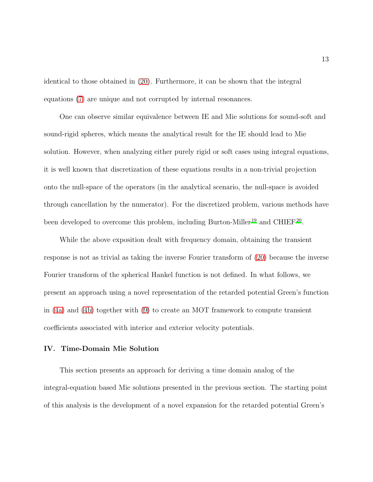identical to those obtained in [\(20\)](#page-11-1). Furthermore, it can be shown that the integral equations [\(7\)](#page-8-1) are unique and not corrupted by internal resonances.

One can observe similar equivalence between IE and Mie solutions for sound-soft and sound-rigid spheres, which means the analytical result for the IE should lead to Mie solution. However, when analyzing either purely rigid or soft cases using integral equations, it is well known that discretization of these equations results in a non-trivial projection onto the null-space of the operators (in the analytical scenario, the null-space is avoided through cancellation by the numerator). For the discretized problem, various methods have been developed to overcome this problem, including Burton-Miller<sup>[19](#page-28-1)</sup> and CHIEF<sup>[20](#page-28-2)</sup>.

While the above exposition dealt with frequency domain, obtaining the transient response is not as trivial as taking the inverse Fourier transform of [\(20\)](#page-11-1) because the inverse Fourier transform of the spherical Hankel function is not defined. In what follows, we present an approach using a novel representation of the retarded potential Green's function in [\(4a\)](#page-7-0) and [\(4b\)](#page-7-1) together with [\(9\)](#page-9-0) to create an MOT framework to compute transient coefficients associated with interior and exterior velocity potentials.

#### IV. Time-Domain Mie Solution

This section presents an approach for deriving a time domain analog of the integral-equation based Mie solutions presented in the previous section. The starting point of this analysis is the development of a novel expansion for the retarded potential Green's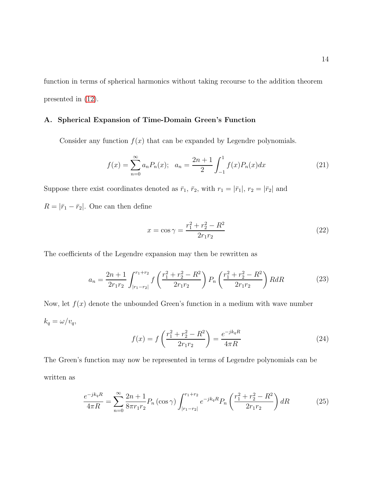function in terms of spherical harmonics without taking recourse to the addition theorem presented in [\(12\)](#page-10-0).

## A. Spherical Expansion of Time-Domain Green's Function

Consider any function  $f(x)$  that can be expanded by Legendre polynomials.

$$
f(x) = \sum_{n=0}^{\infty} a_n P_n(x); \quad a_n = \frac{2n+1}{2} \int_{-1}^{1} f(x) P_n(x) dx \tag{21}
$$

Suppose there exist coordinates denoted as  $\bar{r}_1$ ,  $\bar{r}_2$ , with  $r_1 = |\bar{r}_1|$ ,  $r_2 = |\bar{r}_2|$  and

 $R = |\bar{r}_1 - \bar{r}_2|$ . One can then define

$$
x = \cos \gamma = \frac{r_1^2 + r_2^2 - R^2}{2r_1r_2} \tag{22}
$$

The coefficients of the Legendre expansion may then be rewritten as

$$
a_n = \frac{2n+1}{2r_1r_2} \int_{|r_1 - r_2|}^{r_1 + r_2} f\left(\frac{r_1^2 + r_2^2 - R^2}{2r_1r_2}\right) P_n\left(\frac{r_1^2 + r_2^2 - R^2}{2r_1r_2}\right) RdR \tag{23}
$$

Now, let  $f(x)$  denote the unbounded Green's function in a medium with wave number  $k_q = \omega/v_q$ ,

$$
f(x) = f\left(\frac{r_1^2 + r_2^2 - R^2}{2r_1r_2}\right) = \frac{e^{-jk_qR}}{4\pi R}
$$
 (24)

The Green's function may now be represented in terms of Legendre polynomials can be written as

<span id="page-13-0"></span>
$$
\frac{e^{-jk_qR}}{4\pi R} = \sum_{n=0}^{\infty} \frac{2n+1}{8\pi r_1 r_2} P_n(\cos \gamma) \int_{|r_1 - r_2|}^{r_1 + r_2} e^{-jk_qR} P_n\left(\frac{r_1^2 + r_2^2 - R^2}{2r_1 r_2}\right) dR\tag{25}
$$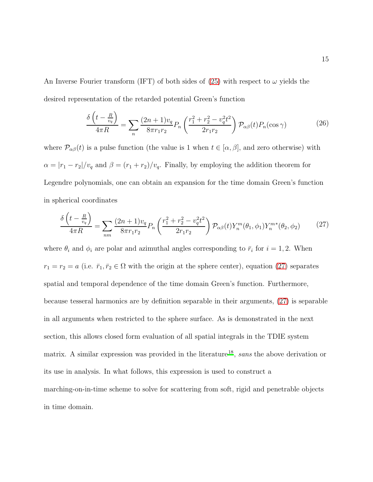An Inverse Fourier transform (IFT) of both sides of [\(25\)](#page-13-0) with respect to  $\omega$  yields the desired representation of the retarded potential Green's function

$$
\frac{\delta \left(t - \frac{R}{v_q}\right)}{4\pi R} = \sum_n \frac{(2n+1)v_q}{8\pi r_1 r_2} P_n \left(\frac{r_1^2 + r_2^2 - v_q^2 t^2}{2r_1 r_2}\right) \mathcal{P}_{\alpha\beta}(t) P_n(\cos\gamma) \tag{26}
$$

where  $\mathcal{P}_{\alpha\beta}(t)$  is a pulse function (the value is 1 when  $t \in [\alpha, \beta]$ , and zero otherwise) with  $\alpha = |r_1 - r_2|/v_q$  and  $\beta = (r_1 + r_2)/v_q$ . Finally, by employing the addition theorem for Legendre polynomials, one can obtain an expansion for the time domain Green's function in spherical coordinates

<span id="page-14-0"></span>
$$
\frac{\delta \left(t - \frac{R}{v_q}\right)}{4\pi R} = \sum_{nm} \frac{(2n+1)v_q}{8\pi r_1 r_2} P_n \left(\frac{r_1^2 + r_2^2 - v_q^2 t^2}{2r_1 r_2}\right) P_{\alpha\beta}(t) Y_n^m(\theta_1, \phi_1) Y_n^{m*}(\theta_2, \phi_2)
$$
(27)

where  $\theta_i$  and  $\phi_i$  are polar and azimuthal angles corresponding to  $\bar{r}_i$  for  $i = 1, 2$ . When  $r_1 = r_2 = a$  (i.e.  $\bar{r}_1, \bar{r}_2 \in \Omega$  with the origin at the sphere center), equation [\(27\)](#page-14-0) separates spatial and temporal dependence of the time domain Green's function. Furthermore, because tesseral harmonics are by definition separable in their arguments, [\(27\)](#page-14-0) is separable in all arguments when restricted to the sphere surface. As is demonstrated in the next section, this allows closed form evaluation of all spatial integrals in the TDIE system matrix. A similar expression was provided in the literature<sup>[18](#page-28-0)</sup>, sans the above derivation or its use in analysis. In what follows, this expression is used to construct a marching-on-in-time scheme to solve for scattering from soft, rigid and penetrable objects in time domain.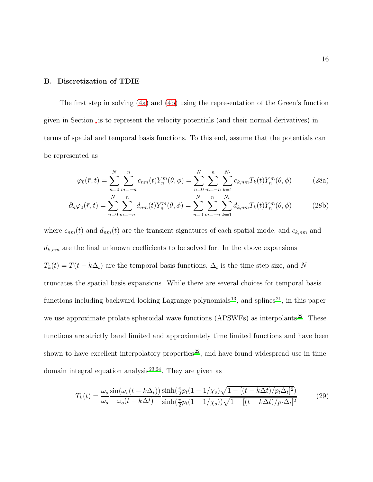## B. Discretization of TDIE

The first step in solving [\(4a\)](#page-7-0) and [\(4b\)](#page-7-1) using the representation of the Green's function given in Section is to represent the velocity potentials (and their normal derivatives) in terms of spatial and temporal basis functions. To this end, assume that the potentials can be represented as

<span id="page-15-0"></span>
$$
\varphi_0(\bar{r}, t) = \sum_{n=0}^{N} \sum_{m=-n}^{n} c_{nm}(t) Y_n^m(\theta, \phi) = \sum_{n=0}^{N} \sum_{m=-n}^{n} \sum_{k=1}^{N_t} c_{k, nm} T_k(t) Y_n^m(\theta, \phi)
$$
(28a)

$$
\partial_n \varphi_0(\bar{r}, t) = \sum_{n=0}^N \sum_{m=-n}^n d_{nm}(t) Y_n^m(\theta, \phi) = \sum_{n=0}^N \sum_{m=-n}^n \sum_{k=1}^{N_t} d_{k,nm} T_k(t) Y_n^m(\theta, \phi)
$$
(28b)

where  $c_{nm}(t)$  and  $d_{nm}(t)$  are the transient signatures of each spatial mode, and  $c_{k,nm}$  and  $d_{k,nm}$  are the final unknown coefficients to be solved for. In the above expansions  $T_k(t) = T(t - k\Delta_t)$  are the temporal basis functions,  $\Delta_t$  is the time step size, and N truncates the spatial basis expansions. While there are several choices for temporal basis functions including backward looking Lagrange polynomials<sup>[13](#page-27-1)</sup>, and splines<sup>[21](#page-28-3)</sup>, in this paper we use approximate prolate spheroidal wave functions  $(APSWFs)$  as interpolants<sup>[22](#page-28-4)</sup>. These functions are strictly band limited and approximately time limited functions and have been shown to have excellent interpolatory properties<sup>[22](#page-28-4)</sup>, and have found widespread use in time domain integral equation analysis<sup>[23](#page-28-5)[,24](#page-29-0)</sup>. They are given as

$$
T_k(t) = \frac{\omega_o \sin(\omega_o(t - k\Delta_t))}{\omega_s} \frac{\sinh(\frac{\pi}{2}p_t(1 - 1/\chi_o)\sqrt{1 - [(t - k\Delta t)/p_t\Delta_t]^2})}{\sinh(\frac{\pi}{2}p_t(1 - 1/\chi_o))\sqrt{1 - [(t - k\Delta t)/p_t\Delta_t]^2}} \tag{29}
$$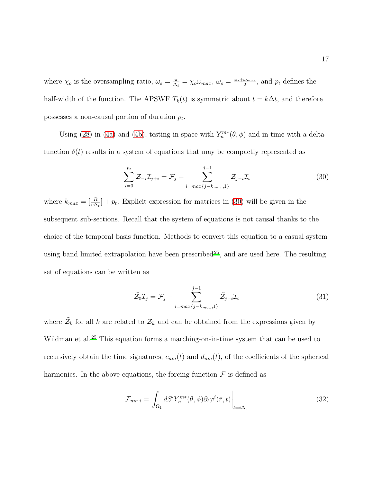where  $\chi_o$  is the oversampling ratio,  $\omega_s = \frac{\pi}{\Delta}$  $\frac{\pi}{\Delta_t} = \chi_o \omega_{max}, \omega_o = \frac{\omega_s + \omega_{max}}{2}$  $\frac{\omega_{max}}{2}$ , and  $p_t$  defines the half-width of the function. The APSWF  $T_k(t)$  is symmetric about  $t = k\Delta t$ , and therefore possesses a non-causal portion of duration  $p_t$ .

Using [\(28\)](#page-15-0) in [\(4a\)](#page-7-0) and [\(4b\)](#page-7-1), testing in space with  $Y_n^{m*}(\theta, \phi)$  and in time with a delta function  $\delta(t)$  results in a system of equations that may be compactly represented as

<span id="page-16-0"></span>
$$
\sum_{i=0}^{p_t} \mathcal{Z}_{-i} \mathcal{I}_{j+i} = \mathcal{F}_j - \sum_{i=max\{j-k_{max},1\}}^{j-1} \mathcal{Z}_{j-i} \mathcal{I}_i
$$
 (30)

where  $k_{max} = \left[\frac{R}{v\Delta_t}\right] + p_t$ . Explicit expression for matrices in [\(30\)](#page-16-0) will be given in the subsequent sub-sections. Recall that the system of equations is not causal thanks to the choice of the temporal basis function. Methods to convert this equation to a casual system using band limited extrapolation have been prescribed<sup>[25](#page-29-1)</sup>, and are used here. The resulting set of equations can be written as

<span id="page-16-1"></span>
$$
\tilde{\mathcal{Z}}_0 \mathcal{I}_j = \mathcal{F}_j - \sum_{i=max\{j-k_{max},1\}}^{j-1} \tilde{\mathcal{Z}}_{j-i} \mathcal{I}_i
$$
\n(31)

where  $\tilde{\mathcal{Z}}_k$  for all k are related to  $\mathcal{Z}_k$  and can be obtained from the expressions given by Wildman et al.<sup>[25](#page-29-1)</sup> This equation forms a marching-on-in-time system that can be used to recursively obtain the time signatures,  $c_{nm}(t)$  and  $d_{nm}(t)$ , of the coefficients of the spherical harmonics. In the above equations, the forcing function  $\mathcal F$  is defined as

$$
\mathcal{F}_{nm,i} = \left. \int_{\Omega_1} dS' Y_n^{m*}(\theta, \phi) \partial_t \varphi^i(\bar{r}, t) \right|_{t=i\Delta_t}
$$
\n(32)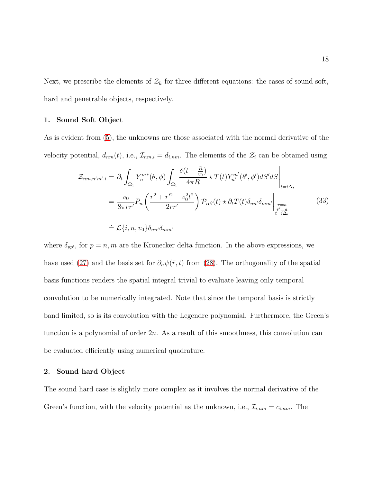Next, we prescribe the elements of  $\mathcal{Z}_k$  for three different equations: the cases of sound soft, hard and penetrable objects, respectively.

## 1. Sound Soft Object

As is evident from [\(5\)](#page-8-2), the unknowns are those associated with the normal derivative of the velocity potential,  $d_{nm}(t)$ , i.e.,  $\mathcal{I}_{nm,i} = d_{i,nm}$ . The elements of the  $\mathcal{Z}_i$  can be obtained using

$$
\mathcal{Z}_{nm,n'm',i} = \partial_t \int_{\Omega_1} Y_n^{m*}(\theta,\phi) \int_{\Omega_1} \frac{\delta(t - \frac{R}{v_0})}{4\pi R} \star T(t) Y_{n'}^{m'}(\theta',\phi') dS' dS \Big|_{t = i\Delta_t}
$$
\n
$$
= \frac{v_0}{8\pi r r'} P_n \left( \frac{r^2 + r'^2 - v_0^2 t^2}{2rr'} \right) \mathcal{P}_{\alpha\beta}(t) \star \partial_t T(t) \delta_{nn'} \delta_{mm'} \Big|_{\substack{r = a \\ r' = a \\ t = i\Delta_t}} \tag{33}
$$
\n
$$
\dot{=} \mathcal{L}\{i, n, v_0\} \delta_{nn'} \delta_{mm'}
$$

where  $\delta_{pp'}$ , for  $p = n, m$  are the Kronecker delta function. In the above expressions, we have used [\(27\)](#page-14-0) and the basis set for  $\partial_n \psi(\bar{r}, t)$  from [\(28\)](#page-15-0). The orthogonality of the spatial basis functions renders the spatial integral trivial to evaluate leaving only temporal convolution to be numerically integrated. Note that since the temporal basis is strictly band limited, so is its convolution with the Legendre polynomial. Furthermore, the Green's function is a polynomial of order  $2n$ . As a result of this smoothness, this convolution can be evaluated efficiently using numerical quadrature.

#### 2. Sound hard Object

The sound hard case is slightly more complex as it involves the normal derivative of the Green's function, with the velocity potential as the unknown, i.e.,  $\mathcal{I}_{i,nm} = c_{i,nm}$ . The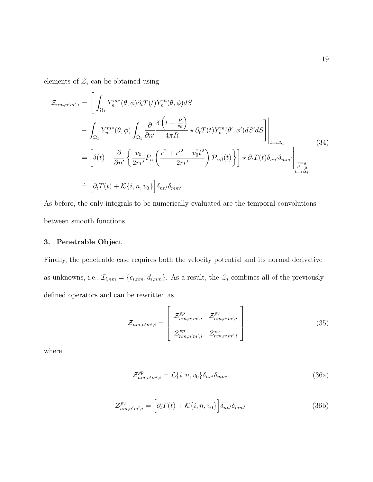elements of  $\mathcal{Z}_i$  can be obtained using

$$
\mathcal{Z}_{nm,n'm',i} = \left[ \int_{\Omega_1} Y_n^{m*}(\theta,\phi) \partial_t T(t) Y_n^m(\theta,\phi) dS \right. \n+ \int_{\Omega_1} Y_n^{m*}(\theta,\phi) \int_{\Omega_1} \frac{\partial}{\partial n'} \frac{\delta \left( t - \frac{R}{v_0} \right)}{4\pi R} \star \partial_t T(t) Y_n^m(\theta',\phi') dS' dS \right] \Big|_{t=i\Delta_t} \n= \left[ \delta(t) + \frac{\partial}{\partial n'} \left\{ \frac{v_0}{2rr'} P_n \left( \frac{r^2 + r'^2 - v_0^2 t^2}{2rr'} \right) \mathcal{P}_{\alpha\beta}(t) \right\} \right] \star \partial_t T(t) \delta_{nn'} \delta_{mm'} \Big|_{\substack{r=a\\r'=a\\t=i\Delta_t}}.
$$
\n(34)

As before, the only integrals to be numerically evaluated are the temporal convolutions between smooth functions.

## 3. Penetrable Object

Finally, the penetrable case requires both the velocity potential and its normal derivative as unknowns, i.e.,  $\mathcal{I}_{i,nm} = \{c_{i,nm}, d_{i,nm}\}\.$  As a result, the  $\mathcal{Z}_i$  combines all of the previously defined operators and can be rewritten as

$$
\mathcal{Z}_{nm,n'm',i} = \begin{bmatrix} \mathcal{Z}_{nm,n'm',i}^{pp} & \mathcal{Z}_{nm,n'm',i}^{pv} \\ \mathcal{Z}_{nm,n'm',i}^{vp} & \mathcal{Z}_{nm,n'm',i}^{vv} \end{bmatrix}
$$
(35)

where

$$
\mathcal{Z}_{nm,n'm',i}^{pp} = \mathcal{L}\{i,n,v_0\}\delta_{nn'}\delta_{mm'}
$$
\n(36a)

$$
\mathcal{Z}_{nm,n'm',i}^{pv} = \left[\partial_t T(t) + \mathcal{K}\{i,n,v_0\}\right] \delta_{nn'} \delta_{mm'}
$$
\n(36b)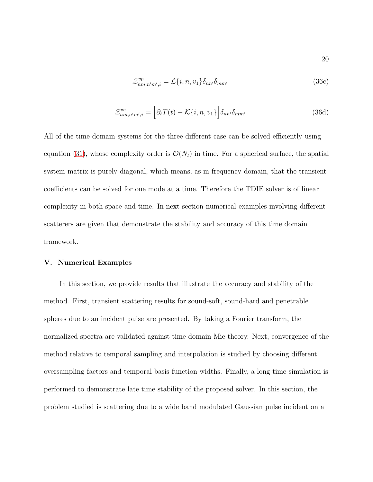$$
\mathcal{Z}_{nm,n'm',i}^{vp} = \mathcal{L}\{i,n,v_1\}\delta_{nn'}\delta_{mm'}
$$
\n(36c)

<span id="page-19-0"></span>
$$
\mathcal{Z}_{nm,n'm',i}^{vv} = \left[\partial_t T(t) - \mathcal{K}\{i,n,v_1\}\right] \delta_{nn'} \delta_{mm'}
$$
\n(36d)

All of the time domain systems for the three different case can be solved efficiently using equation [\(31\)](#page-16-1), whose complexity order is  $\mathcal{O}(N_t)$  in time. For a spherical surface, the spatial system matrix is purely diagonal, which means, as in frequency domain, that the transient coefficients can be solved for one mode at a time. Therefore the TDIE solver is of linear complexity in both space and time. In next section numerical examples involving different scatterers are given that demonstrate the stability and accuracy of this time domain framework.

#### V. Numerical Examples

In this section, we provide results that illustrate the accuracy and stability of the method. First, transient scattering results for sound-soft, sound-hard and penetrable spheres due to an incident pulse are presented. By taking a Fourier transform, the normalized spectra are validated against time domain Mie theory. Next, convergence of the method relative to temporal sampling and interpolation is studied by choosing different oversampling factors and temporal basis function widths. Finally, a long time simulation is performed to demonstrate late time stability of the proposed solver. In this section, the problem studied is scattering due to a wide band modulated Gaussian pulse incident on a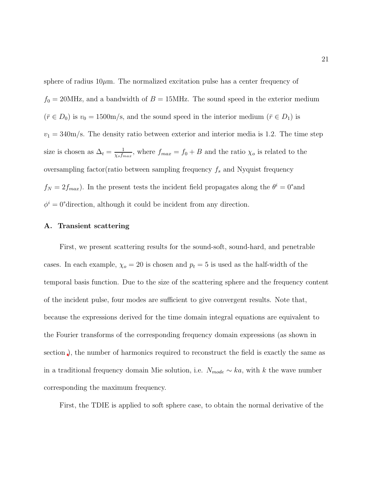sphere of radius  $10\mu$ m. The normalized excitation pulse has a center frequency of  $f_0 = 20$ MHz, and a bandwidth of  $B = 15$ MHz. The sound speed in the exterior medium  $(\bar{r} \in D_0)$  is  $v_0 = 1500 \text{m/s}$ , and the sound speed in the interior medium  $(\bar{r} \in D_1)$  is  $v_1 = 340 \text{m/s}$ . The density ratio between exterior and interior media is 1.2. The time step size is chosen as  $\Delta_t = \frac{1}{\gamma_c f_s}$  $\frac{1}{\chi_o f_{max}}$ , where  $f_{max} = f_0 + B$  and the ratio  $\chi_o$  is related to the oversampling factor(ratio between sampling frequency  $f_s$  and Nyquist frequency  $f_N = 2f_{max}$ ). In the present tests the incident field propagates along the  $\theta^i = 0$ °and  $\phi^i = 0$ °direction, although it could be incident from any direction.

## A. Transient scattering

First, we present scattering results for the sound-soft, sound-hard, and penetrable cases. In each example,  $\chi_o = 20$  is chosen and  $p_t = 5$  is used as the half-width of the temporal basis function. Due to the size of the scattering sphere and the frequency content of the incident pulse, four modes are sufficient to give convergent results. Note that, because the expressions derived for the time domain integral equations are equivalent to the Fourier transforms of the corresponding frequency domain expressions (as shown in section [\)](#page-8-0), the number of harmonics required to reconstruct the field is exactly the same as in a traditional frequency domain Mie solution, i.e.  $N_{mode} \sim ka$ , with k the wave number corresponding the maximum frequency.

First, the TDIE is applied to soft sphere case, to obtain the normal derivative of the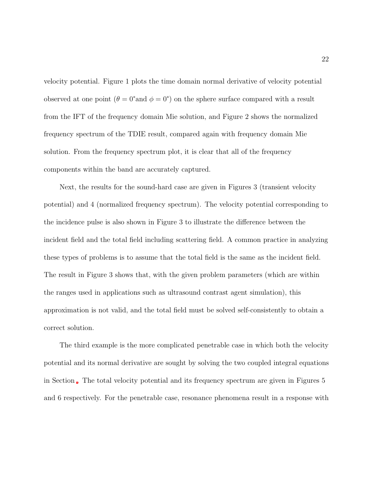velocity potential. Figure 1 plots the time domain normal derivative of velocity potential observed at one point  $(\theta = 0^{\circ} \text{and } \phi = 0^{\circ})$  on the sphere surface compared with a result from the IFT of the frequency domain Mie solution, and Figure 2 shows the normalized frequency spectrum of the TDIE result, compared again with frequency domain Mie solution. From the frequency spectrum plot, it is clear that all of the frequency components within the band are accurately captured.

Next, the results for the sound-hard case are given in Figures 3 (transient velocity potential) and 4 (normalized frequency spectrum). The velocity potential corresponding to the incidence pulse is also shown in Figure 3 to illustrate the difference between the incident field and the total field including scattering field. A common practice in analyzing these types of problems is to assume that the total field is the same as the incident field. The result in Figure 3 shows that, with the given problem parameters (which are within the ranges used in applications such as ultrasound contrast agent simulation), this approximation is not valid, and the total field must be solved self-consistently to obtain a correct solution.

The third example is the more complicated penetrable case in which both the velocity potential and its normal derivative are sought by solving the two coupled integral equations in Section [.](#page-14-0) The total velocity potential and its frequency spectrum are given in Figures 5 and 6 respectively. For the penetrable case, resonance phenomena result in a response with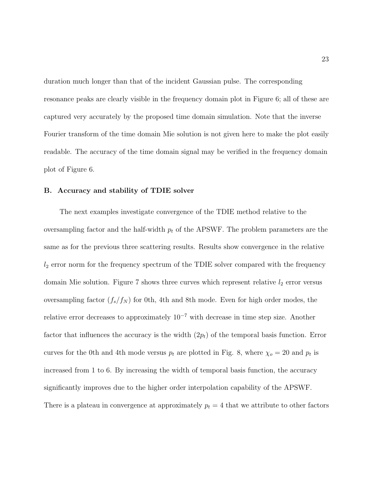duration much longer than that of the incident Gaussian pulse. The corresponding resonance peaks are clearly visible in the frequency domain plot in Figure 6; all of these are captured very accurately by the proposed time domain simulation. Note that the inverse Fourier transform of the time domain Mie solution is not given here to make the plot easily readable. The accuracy of the time domain signal may be verified in the frequency domain plot of Figure 6.

#### B. Accuracy and stability of TDIE solver

The next examples investigate convergence of the TDIE method relative to the oversampling factor and the half-width  $p_t$  of the APSWF. The problem parameters are the same as for the previous three scattering results. Results show convergence in the relative  $l_2$  error norm for the frequency spectrum of the TDIE solver compared with the frequency domain Mie solution. Figure 7 shows three curves which represent relative  $l_2$  error versus oversampling factor  $(f_s/f_N)$  for 0th, 4th and 8th mode. Even for high order modes, the relative error decreases to approximately  $10^{-7}$  with decrease in time step size. Another factor that influences the accuracy is the width  $(2p_t)$  of the temporal basis function. Error curves for the 0th and 4th mode versus  $p_t$  are plotted in Fig. 8, where  $\chi_o = 20$  and  $p_t$  is increased from 1 to 6. By increasing the width of temporal basis function, the accuracy significantly improves due to the higher order interpolation capability of the APSWF. There is a plateau in convergence at approximately  $p_t = 4$  that we attribute to other factors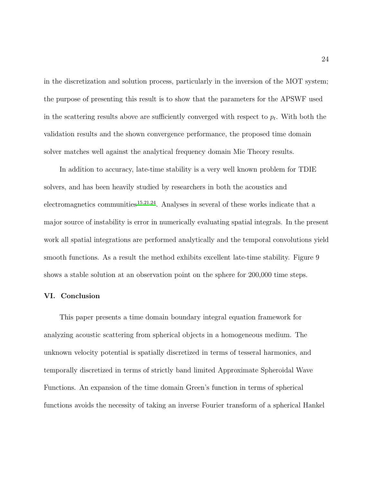in the discretization and solution process, particularly in the inversion of the MOT system; the purpose of presenting this result is to show that the parameters for the APSWF used in the scattering results above are sufficiently converged with respect to  $p_t$ . With both the validation results and the shown convergence performance, the proposed time domain solver matches well against the analytical frequency domain Mie Theory results.

In addition to accuracy, late-time stability is a very well known problem for TDIE solvers, and has been heavily studied by researchers in both the acoustics and electromagnetics communities<sup>[15](#page-27-2)[,21](#page-28-3)[,24](#page-29-0)</sup>. Analyses in several of these works indicate that a major source of instability is error in numerically evaluating spatial integrals. In the present work all spatial integrations are performed analytically and the temporal convolutions yield smooth functions. As a result the method exhibits excellent late-time stability. Figure 9 shows a stable solution at an observation point on the sphere for 200,000 time steps.

#### VI. Conclusion

This paper presents a time domain boundary integral equation framework for analyzing acoustic scattering from spherical objects in a homogeneous medium. The unknown velocity potential is spatially discretized in terms of tesseral harmonics, and temporally discretized in terms of strictly band limited Approximate Spheroidal Wave Functions. An expansion of the time domain Green's function in terms of spherical functions avoids the necessity of taking an inverse Fourier transform of a spherical Hankel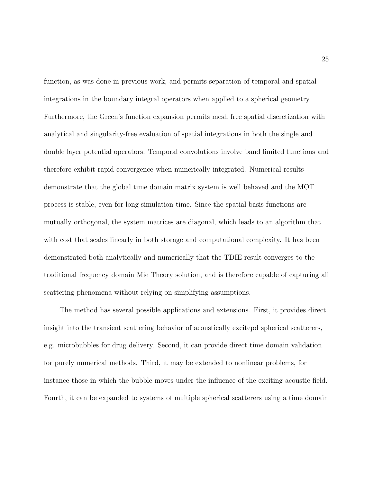function, as was done in previous work, and permits separation of temporal and spatial integrations in the boundary integral operators when applied to a spherical geometry. Furthermore, the Green's function expansion permits mesh free spatial discretization with analytical and singularity-free evaluation of spatial integrations in both the single and double layer potential operators. Temporal convolutions involve band limited functions and therefore exhibit rapid convergence when numerically integrated. Numerical results demonstrate that the global time domain matrix system is well behaved and the MOT process is stable, even for long simulation time. Since the spatial basis functions are mutually orthogonal, the system matrices are diagonal, which leads to an algorithm that with cost that scales linearly in both storage and computational complexity. It has been demonstrated both analytically and numerically that the TDIE result converges to the traditional frequency domain Mie Theory solution, and is therefore capable of capturing all scattering phenomena without relying on simplifying assumptions.

The method has several possible applications and extensions. First, it provides direct insight into the transient scattering behavior of acoustically excitepd spherical scatterers, e.g. microbubbles for drug delivery. Second, it can provide direct time domain validation for purely numerical methods. Third, it may be extended to nonlinear problems, for instance those in which the bubble moves under the influence of the exciting acoustic field. Fourth, it can be expanded to systems of multiple spherical scatterers using a time domain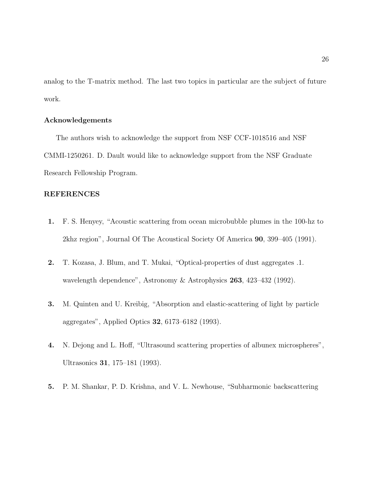analog to the T-matrix method. The last two topics in particular are the subject of future work.

## Acknowledgements

The authors wish to acknowledge the support from NSF CCF-1018516 and NSF CMMI-1250261. D. Dault would like to acknowledge support from the NSF Graduate Research Fellowship Program.

## REFERENCES

- <span id="page-25-0"></span>1. F. S. Henyey, "Acoustic scattering from ocean microbubble plumes in the 100-hz to 2khz region", Journal Of The Acoustical Society Of America 90, 399–405 (1991).
- 2. T. Kozasa, J. Blum, and T. Mukai, "Optical-properties of dust aggregates .1. wavelength dependence", Astronomy & Astrophysics 263, 423–432 (1992).
- 3. M. Quinten and U. Kreibig, "Absorption and elastic-scattering of light by particle aggregates", Applied Optics 32, 6173–6182 (1993).
- 4. N. Dejong and L. Hoff, "Ultrasound scattering properties of albunex microspheres", Ultrasonics 31, 175–181 (1993).
- <span id="page-25-1"></span>5. P. M. Shankar, P. D. Krishna, and V. L. Newhouse, "Subharmonic backscattering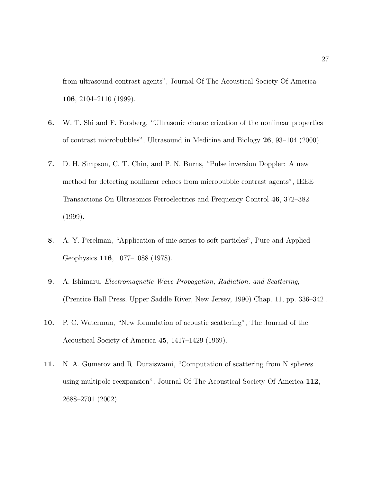from ultrasound contrast agents", Journal Of The Acoustical Society Of America 106, 2104–2110 (1999).

- <span id="page-26-0"></span>6. W. T. Shi and F. Forsberg, "Ultrasonic characterization of the nonlinear properties of contrast microbubbles", Ultrasound in Medicine and Biology 26, 93–104 (2000).
- <span id="page-26-1"></span>7. D. H. Simpson, C. T. Chin, and P. N. Burns, "Pulse inversion Doppler: A new method for detecting nonlinear echoes from microbubble contrast agents", IEEE Transactions On Ultrasonics Ferroelectrics and Frequency Control 46, 372–382 (1999).
- <span id="page-26-2"></span>8. A. Y. Perelman, "Application of mie series to soft particles", Pure and Applied Geophysics 116, 1077–1088 (1978).
- <span id="page-26-3"></span>9. A. Ishimaru, Electromagnetic Wave Propagation, Radiation, and Scattering, (Prentice Hall Press, Upper Saddle River, New Jersey, 1990) Chap. 11, pp. 336–342 .
- <span id="page-26-4"></span>10. P. C. Waterman, "New formulation of acoustic scattering", The Journal of the Acoustical Society of America 45, 1417–1429 (1969).
- 11. N. A. Gumerov and R. Duraiswami, "Computation of scattering from N spheres using multipole reexpansion", Journal Of The Acoustical Society Of America 112, 2688–2701 (2002).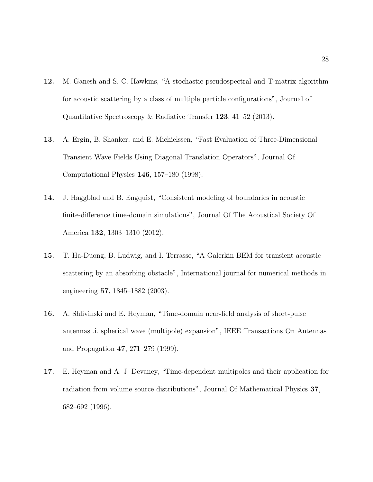- <span id="page-27-0"></span>12. M. Ganesh and S. C. Hawkins, "A stochastic pseudospectral and T-matrix algorithm for acoustic scattering by a class of multiple particle configurations", Journal of Quantitative Spectroscopy & Radiative Transfer 123, 41–52 (2013).
- <span id="page-27-1"></span>13. A. Ergin, B. Shanker, and E. Michielssen, "Fast Evaluation of Three-Dimensional Transient Wave Fields Using Diagonal Translation Operators", Journal Of Computational Physics 146, 157–180 (1998).
- 14. J. Haggblad and B. Engquist, "Consistent modeling of boundaries in acoustic finite-difference time-domain simulations", Journal Of The Acoustical Society Of America 132, 1303–1310 (2012).
- <span id="page-27-2"></span>15. T. Ha-Duong, B. Ludwig, and I. Terrasse, "A Galerkin BEM for transient acoustic scattering by an absorbing obstacle", International journal for numerical methods in engineering 57, 1845–1882 (2003).
- <span id="page-27-3"></span>16. A. Shlivinski and E. Heyman, "Time-domain near-field analysis of short-pulse antennas .i. spherical wave (multipole) expansion", IEEE Transactions On Antennas and Propagation 47, 271–279 (1999).
- <span id="page-27-4"></span>17. E. Heyman and A. J. Devaney, "Time-dependent multipoles and their application for radiation from volume source distributions", Journal Of Mathematical Physics 37, 682–692 (1996).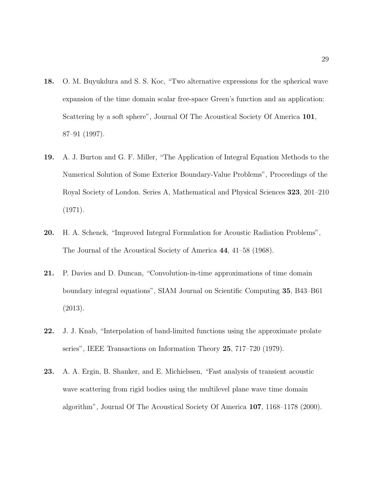- <span id="page-28-0"></span>18. O. M. Buyukdura and S. S. Koc, "Two alternative expressions for the spherical wave expansion of the time domain scalar free-space Green's function and an application: Scattering by a soft sphere", Journal Of The Acoustical Society Of America 101, 87–91 (1997).
- <span id="page-28-1"></span>19. A. J. Burton and G. F. Miller, "The Application of Integral Equation Methods to the Numerical Solution of Some Exterior Boundary-Value Problems", Proceedings of the Royal Society of London. Series A, Mathematical and Physical Sciences 323, 201–210 (1971).
- <span id="page-28-2"></span>20. H. A. Schenck, "Improved Integral Formulation for Acoustic Radiation Problems", The Journal of the Acoustical Society of America 44, 41–58 (1968).
- <span id="page-28-3"></span>21. P. Davies and D. Duncan, "Convolution-in-time approximations of time domain boundary integral equations", SIAM Journal on Scientific Computing 35, B43–B61 (2013).
- <span id="page-28-4"></span>22. J. J. Knab, "Interpolation of band-limited functions using the approximate prolate series", IEEE Transactions on Information Theory 25, 717–720 (1979).
- <span id="page-28-5"></span>23. A. A. Ergin, B. Shanker, and E. Michielssen, "Fast analysis of transient acoustic wave scattering from rigid bodies using the multilevel plane wave time domain algorithm", Journal Of The Acoustical Society Of America 107, 1168–1178 (2000).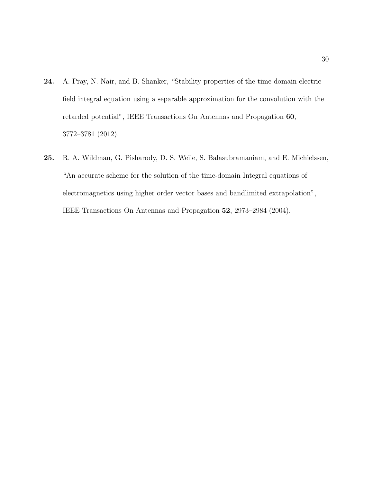- <span id="page-29-0"></span>24. A. Pray, N. Nair, and B. Shanker, "Stability properties of the time domain electric field integral equation using a separable approximation for the convolution with the retarded potential", IEEE Transactions On Antennas and Propagation 60, 3772–3781 (2012).
- <span id="page-29-1"></span>25. R. A. Wildman, G. Pisharody, D. S. Weile, S. Balasubramaniam, and E. Michielssen, "An accurate scheme for the solution of the time-domain Integral equations of electromagnetics using higher order vector bases and bandlimited extrapolation", IEEE Transactions On Antennas and Propagation 52, 2973–2984 (2004).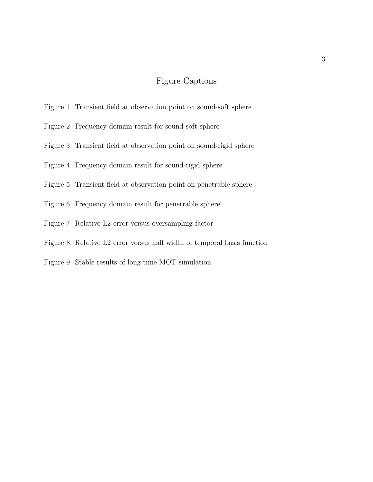## Figure Captions

- Figure 1. Transient field at observation point on sound-soft sphere
- Figure 2. Frequency domain result for sound-soft sphere
- Figure 3. Transient field at observation point on sound-rigid sphere
- Figure 4. Frequency domain result for sound-rigid sphere
- Figure 5. Transient field at observation point on penetrable sphere
- Figure 6. Frequency domain result for penetrable sphere
- Figure 7. Relative L2 error versus oversampling factor
- Figure 8. Relative L2 error versus half width of temporal basis function
- Figure 9. Stable results of long time MOT simulation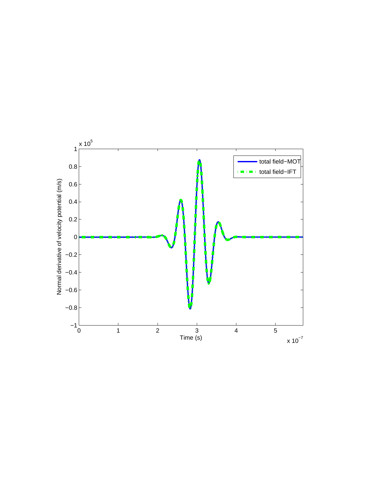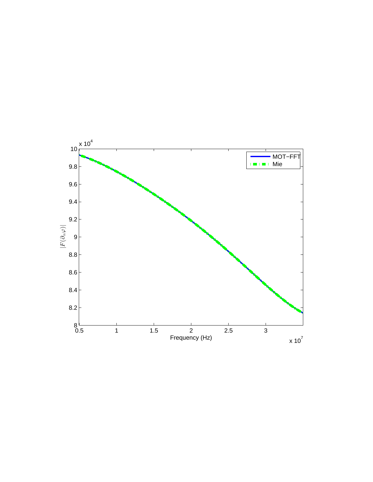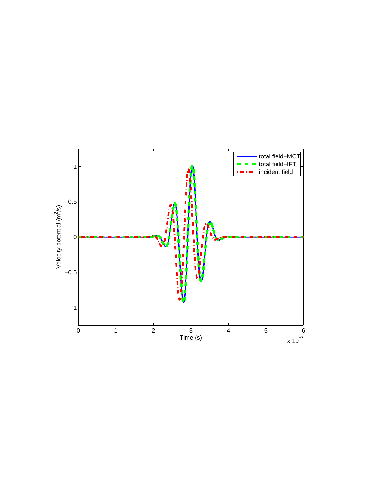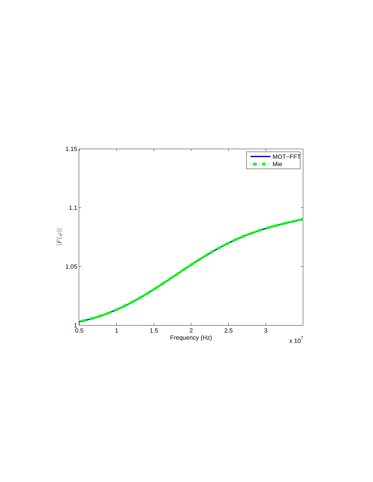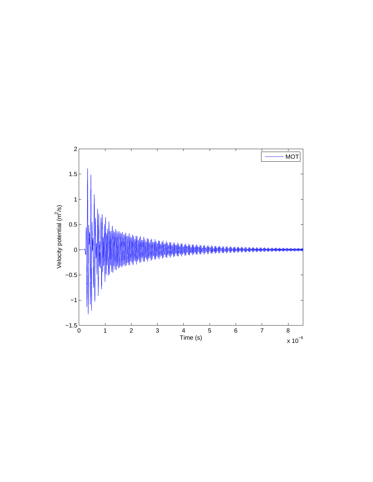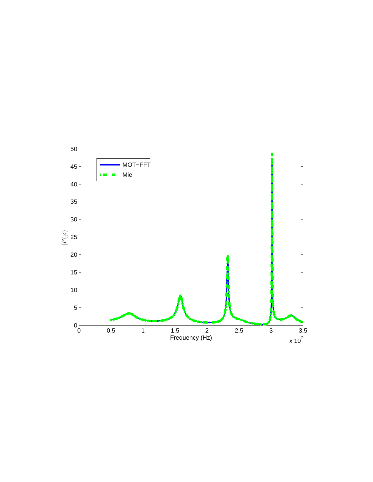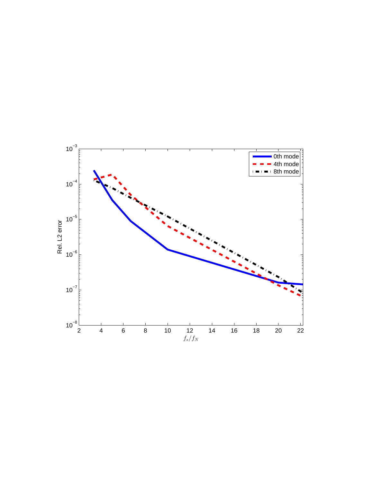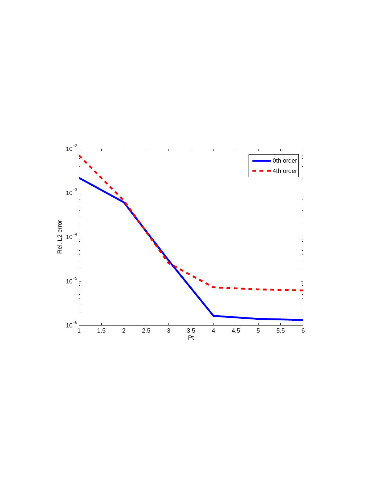